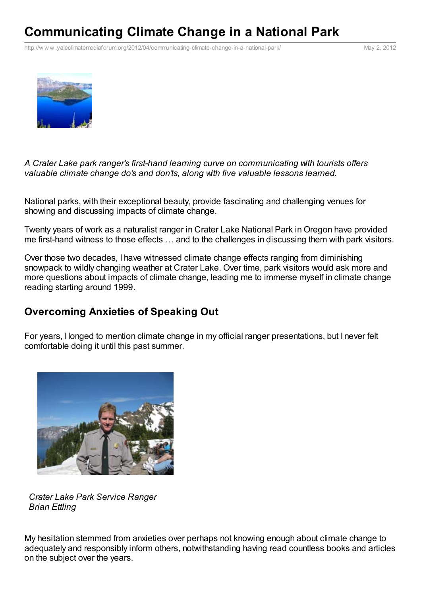# **Communicating Climate Change in a National Park**

http://w w w [.yaleclimatemediaforum.org/2012/04/communicating-climate-change-in-a-national-park/](http://www.printfriendly.com/print?url=http%3A%2F%2Fwww.yaleclimatemediaforum.org%2F2012%2F04%2Fcommunicating-climate-change-in-a-national-park%2F&partner=sociable) May 2, 2012



*A Crater Lake park ranger's first-hand learning curve on communicating with tourists offers valuable climate change do's and don'ts, along with five valuable lessons learned.*

National parks, with their exceptional beauty, provide fascinating and challenging venues for showing and discussing impacts of climate change.

Twenty years of work as a naturalist ranger in Crater Lake National Park in Oregon have provided me first-hand witness to those effects … and to the challenges in discussing them with park visitors.

Over those two decades, I have witnessed climate change effects ranging from diminishing snowpack to wildly changing weather at Crater Lake. Over time, park visitors would ask more and more questions about impacts of climate change, leading me to immerse myself in climate change reading starting around 1999.

#### **Overcoming Anxieties of Speaking Out**

For years, I longed to mention climate change in my official ranger presentations, but I never felt comfortable doing it until this past summer.



*Crater Lake Park Service Ranger Brian Ettling*

My hesitation stemmed from anxieties over perhaps not knowing enough about climate change to adequately and responsibly inform others, notwithstanding having read countless books and articles on the subject over the years.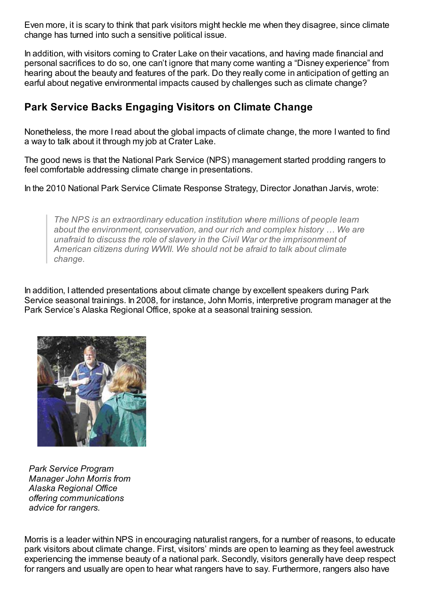Even more, it is scary to think that park visitors might heckle me when they disagree, since climate change has turned into such a sensitive political issue.

In addition, with visitors coming to Crater Lake on their vacations, and having made financial and personal sacrifices to do so, one can't ignore that many come wanting a "Disney experience" from hearing about the beauty and features of the park. Do they really come in anticipation of getting an earful about negative environmental impacts caused by challenges such as climate change?

# **Park Service Backs Engaging Visitors on Climate Change**

Nonetheless, the more Iread about the global impacts of climate change, the more I wanted to find a way to talk about it through my job at Crater Lake.

The good news is that the National Park Service (NPS) management started prodding rangers to feel comfortable addressing climate change in presentations.

In the 2010 National Park Service Climate Response Strategy, Director Jonathan Jarvis, wrote:

*The NPS is an extraordinary education institution where millions of people learn about the environment, conservation, and our rich and complex history … We are unafraid to discuss the role of slavery in the Civil War or the imprisonment of American citizens during WWII. We should not be afraid to talk about climate change.*

In addition, I attended presentations about climate change by excellent speakers during Park Service seasonal trainings. In 2008, for instance, John Morris, interpretive program manager at the Park Service's Alaska Regional Office, spoke at a seasonal training session.



*Park Service Program Manager John Morris from Alaska Regional Office offering communications advice for rangers.*

Morris is a leader within NPS in encouraging naturalist rangers, for a number of reasons, to educate park visitors about climate change. First, visitors' minds are open to learning as they feel awestruck experiencing the immense beauty of a national park. Secondly, visitors generally have deep respect for rangers and usually are open to hear what rangers have to say. Furthermore, rangers also have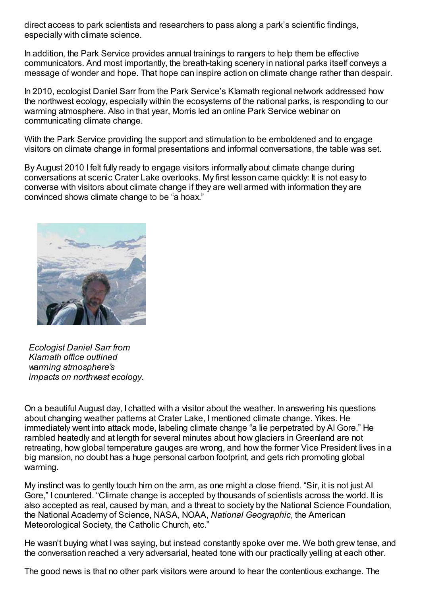direct access to park scientists and researchers to pass along a park's scientific findings, especially with climate science.

In addition, the Park Service provides annual trainings to rangers to help them be effective communicators. And most importantly, the breath-taking scenery in national parks itself conveys a message of wonder and hope. That hope can inspire action on climate change rather than despair.

In 2010, ecologist Daniel Sarr from the Park Service's Klamath regional network addressed how the northwest ecology, especially within the ecosystems of the national parks, is responding to our warming atmosphere. Also in that year, Morris led an online Park Service webinar on communicating climate change.

With the Park Service providing the support and stimulation to be emboldened and to engage visitors on climate change in formal presentations and informal conversations, the table was set.

By August 2010 I felt fully ready to engage visitors informally about climate change during conversations at scenic Crater Lake overlooks. My first lesson came quickly: It is not easy to converse with visitors about climate change if they are well armed with information they are convinced shows climate change to be "a hoax."



*Ecologist Daniel Sarr from Klamath office outlined warming atmosphere's impacts on northwest ecology.*

On a beautiful August day, I chatted with a visitor about the weather. In answering his questions about changing weather patterns at Crater Lake, I mentioned climate change. Yikes. He immediately went into attack mode, labeling climate change "a lie perpetrated by Al Gore." He rambled heatedly and at length for several minutes about how glaciers in Greenland are not retreating, how global temperature gauges are wrong, and how the former Vice President lives in a big mansion, no doubt has a huge personal carbon footprint, and gets rich promoting global warming.

My instinct was to gently touch him on the arm, as one might a close friend. "Sir, it is not just Al Gore," I countered. "Climate change is accepted by thousands of scientists across the world. It is also accepted as real, caused by man, and a threat to society by the National Science Foundation, the National Academy of Science, NASA, NOAA, *National Geographic*, the American Meteorological Society, the Catholic Church, etc."

He wasn't buying what I was saying, but instead constantly spoke over me. We both grew tense, and the conversation reached a very adversarial, heated tone with our practically yelling at each other.

The good news is that no other park visitors were around to hear the contentious exchange. The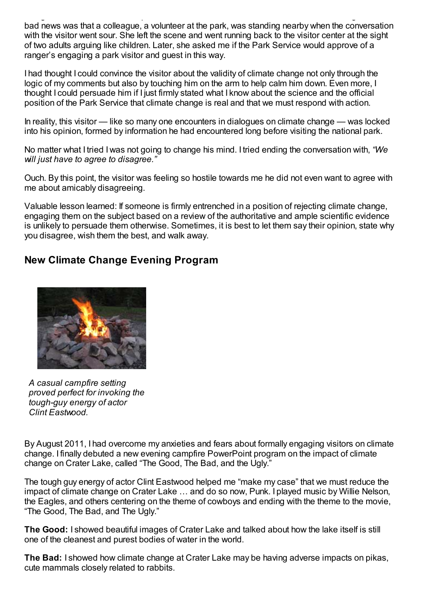The good news is that no other park visitors were around to hear the contentious exchange. The bad news was that a colleague, a volunteer at the park, was standing nearby when the conversation with the visitor went sour. She left the scene and went running back to the visitor center at the sight of two adults arguing like children. Later, she asked me if the Park Service would approve of a ranger's engaging a park visitor and guest in this way.

I had thought I could convince the visitor about the validity of climate change not only through the logic of my comments but also by touching him on the arm to help calm him down. Even more, I thought I could persuade him if I just firmly stated what I know about the science and the official position of the Park Service that climate change is real and that we must respond with action.

In reality, this visitor — like so many one encounters in dialogues on climate change — was locked into his opinion, formed by information he had encountered long before visiting the national park.

No matter what I tried I was not going to change his mind. I tried ending the conversation with, *"We will just have to agree to disagree."*

Ouch. By this point, the visitor was feeling so hostile towards me he did not even want to agree with me about amicably disagreeing.

Valuable lesson learned: If someone is firmly entrenched in a position of rejecting climate change, engaging them on the subject based on a review of the authoritative and ample scientific evidence is unlikely to persuade them otherwise. Sometimes, it is best to let them say their opinion, state why you disagree, wish them the best, and walk away.

### **New Climate Change Evening Program**



*A casual campfire setting proved perfect for invoking the tough-guy energy of actor Clint Eastwood.*

By August 2011, I had overcome my anxieties and fears about formally engaging visitors on climate change. I finally debuted a new evening campfire PowerPoint program on the impact of climate change on Crater Lake, called "The Good, The Bad, and the Ugly."

The tough guy energy of actor Clint Eastwood helped me "make my case" that we must reduce the impact of climate change on Crater Lake … and do so now, Punk. I played music by Willie Nelson, the Eagles, and others centering on the theme of cowboys and ending with the theme to the movie, "The Good, The Bad, and The Ugly."

**The Good:** I showed beautiful images of Crater Lake and talked about how the lake itself is still one of the cleanest and purest bodies of water in the world.

**The Bad:** I showed how climate change at Crater Lake may be having adverse impacts on pikas, cute mammals closely related to rabbits.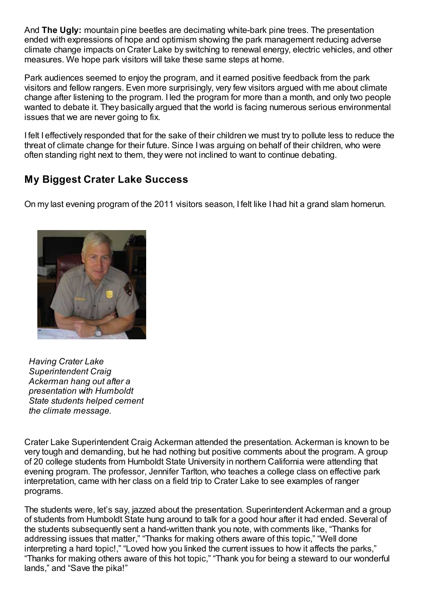And **The Ugly:** mountain pine beetles are decimating white-bark pine trees. The presentation ended with expressions of hope and optimism showing the park management reducing adverse climate change impacts on Crater Lake by switching to renewal energy, electric vehicles, and other measures. We hope park visitors will take these same steps at home.

Park audiences seemed to enjoy the program, and it earned positive feedback from the park visitors and fellow rangers. Even more surprisingly, very few visitors argued with me about climate change after listening to the program. I led the program for more than a month, and only two people wanted to debate it. They basically argued that the world is facing numerous serious environmental issues that we are never going to fix.

I felt I effectively responded that for the sake of their children we must try to pollute less to reduce the threat of climate change for their future. Since I was arguing on behalf of their children, who were often standing right next to them, they were not inclined to want to continue debating.

# **My Biggest Crater Lake Success**

On my last evening program of the 2011 visitors season, I felt like I had hit a grand slam homerun.



*Having Crater Lake Superintendent Craig Ackerman hang out after a presentation with Humboldt State students helped cement the climate message.*

Crater Lake Superintendent Craig Ackerman attended the presentation. Ackerman is known to be very tough and demanding, but he had nothing but positive comments about the program. A group of 20 college students from Humboldt State University in northern California were attending that evening program. The professor, Jennifer Tarlton, who teaches a college class on effective park interpretation, came with her class on a field trip to Crater Lake to see examples of ranger programs.

The students were, let's say, jazzed about the presentation. Superintendent Ackerman and a group of students from Humboldt State hung around to talk for a good hour after it had ended. Several of the students subsequently sent a hand-written thank you note, with comments like, "Thanks for addressing issues that matter," "Thanks for making others aware of this topic," "Well done interpreting a hard topic!," "Loved how you linked the current issues to how it affects the parks," "Thanks for making others aware of this hot topic," "Thank you for being a steward to our wonderful lands," and "Save the pika!"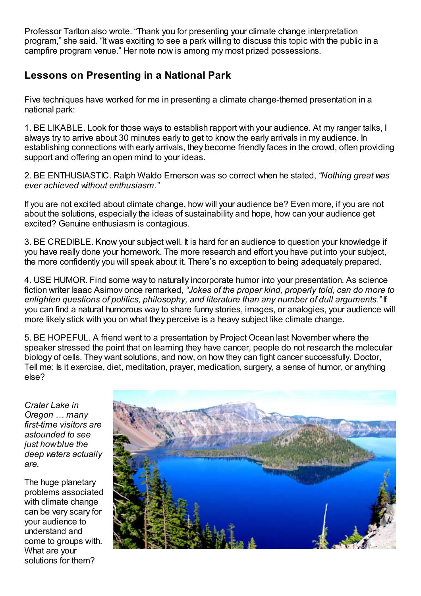Professor Tarlton also wrote. "Thank you for presenting your climate change interpretation program," she said. "It was exciting to see a park willing to discuss this topic with the public in a campfire program venue." Her note now is among my most prized possessions.

# **Lessons on Presenting in a National Park**

Five techniques have worked for me in presenting a climate change-themed presentation in a national park:

1. BE LIKABLE. Look for those ways to establish rapport with your audience. At my ranger talks, I always try to arrive about 30 minutes early to get to know the early arrivals in my audience. In establishing connections with early arrivals, they become friendly faces in the crowd, often providing support and offering an open mind to your ideas.

2. BE ENTHUSIASTIC. Ralph Waldo Emerson was so correct when he stated, *"Nothing great was ever achieved without enthusiasm."*

If you are not excited about climate change, how will your audience be? Even more, if you are not about the solutions, especially the ideas of sustainability and hope, how can your audience get excited? Genuine enthusiasm is contagious.

3. BE CREDIBLE. Know your subject well. It is hard for an audience to question your knowledge if you have really done your homework. The more research and effort you have put into your subject, the more confidently you will speak about it. There's no exception to being adequately prepared.

4. USE HUMOR. Find some way to naturally incorporate humor into your presentation. As science fiction writer Isaac Asimov once remarked, *"Jokes of the proper kind, properly told, can do more to enlighten questions of politics, philosophy, and literature than any number of dull arguments."* If you can find a natural humorous way to share funny stories, images, or analogies, your audience will more likely stick with you on what they perceive is a heavy subject like climate change.

5. BE HOPEFUL. A friend went to a presentation by Project Ocean last November where the speaker stressed the point that on learning they have cancer, people do not research the molecular biology of cells. They want solutions, and now, on how they can fight cancer successfully. Doctor, Tell me: Is it exercise, diet, meditation, prayer, medication, surgery, a sense of humor, or anything else?

*Crater Lake in Oregon … many first-time visitors are astounded to see just howblue the deep waters actually are.*

The huge planetary problems associated with climate change can be very scary for your audience to understand and come to groups with. What are your solutions for them?